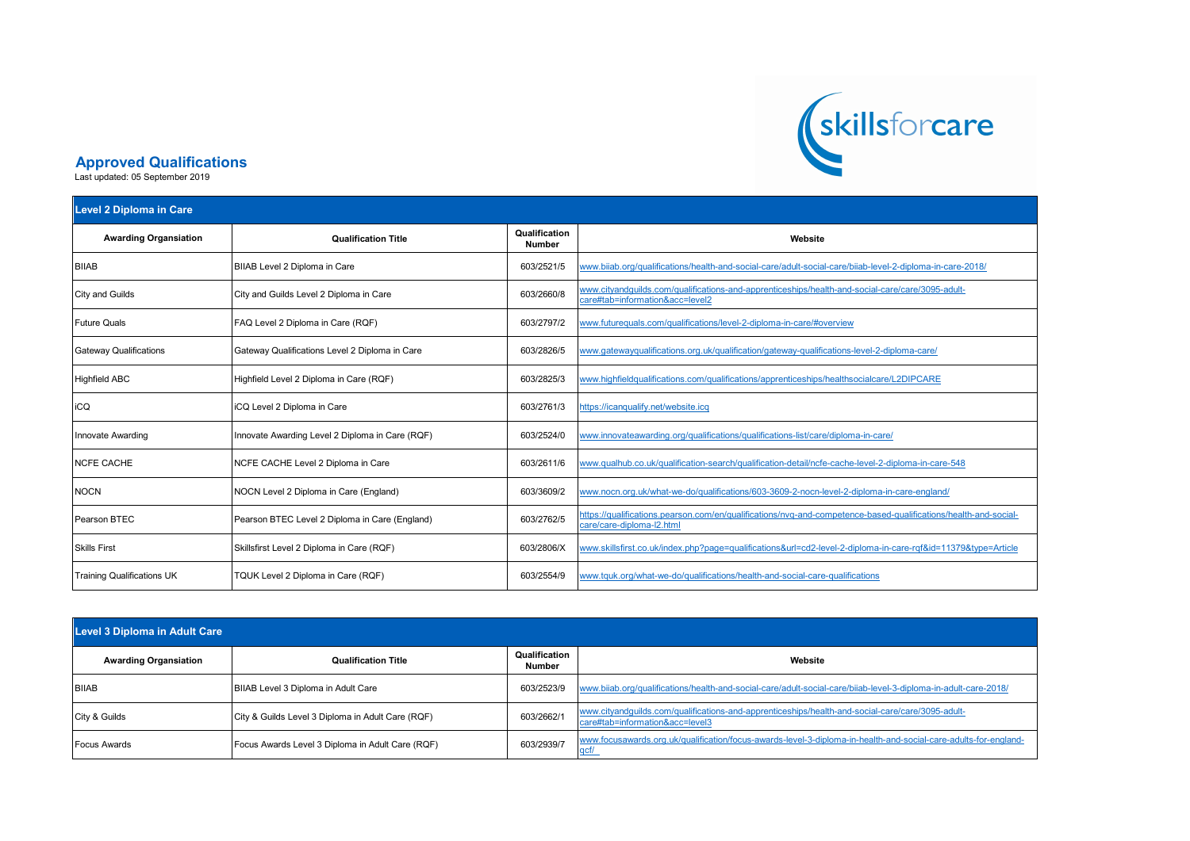

## **Approved Qualifications**

Last updated: 05 September 2019

| <b>Level 2 Diploma in Care</b>    |                                                 |                                |                                                                                                                                              |  |
|-----------------------------------|-------------------------------------------------|--------------------------------|----------------------------------------------------------------------------------------------------------------------------------------------|--|
| <b>Awarding Organsiation</b>      | <b>Qualification Title</b>                      | Qualification<br><b>Number</b> | Website                                                                                                                                      |  |
| <b>BIIAB</b>                      | BIIAB Level 2 Diploma in Care                   | 603/2521/5                     | /www.biiab.org/qualifications/health-and-social-care/adult-social-care/biiab-level-2-diploma-in-care-2018                                    |  |
| <b>City and Guilds</b>            | City and Guilds Level 2 Diploma in Care         | 603/2660/8                     | www.cityandquilds.com/qualifications-and-apprenticeships/health-and-social-care/care/3095-adult-<br>care#tab=information&acc=level2          |  |
| <b>Future Quals</b>               | FAQ Level 2 Diploma in Care (RQF)               | 603/2797/2                     | www.futurequals.com/qualifications/level-2-diploma-in-care/#overview                                                                         |  |
| <b>Gateway Qualifications</b>     | Gateway Qualifications Level 2 Diploma in Care  | 603/2826/5                     | www.gatewayqualifications.org.uk/qualification/gateway-qualifications-level-2-diploma-care/                                                  |  |
| <b>Highfield ABC</b>              | Highfield Level 2 Diploma in Care (RQF)         | 603/2825/3                     | www.highfieldqualifications.com/qualifications/apprenticeships/healthsocialcare/L2DIPCARE                                                    |  |
| iCQ                               | ICQ Level 2 Diploma in Care                     | 603/2761/3                     | https://icanqualify.net/website.icq                                                                                                          |  |
| Innovate Awarding                 | Innovate Awarding Level 2 Diploma in Care (RQF) | 603/2524/0                     | www.innovateawarding.org/qualifications/qualifications-list/care/diploma-in-care/                                                            |  |
| <b>NCFE CACHE</b>                 | NCFE CACHE Level 2 Diploma in Care              | 603/2611/6                     | www.qualhub.co.uk/qualification-search/qualification-detail/ncfe-cache-level-2-diploma-in-care-548                                           |  |
| <b>NOCN</b>                       | NOCN Level 2 Diploma in Care (England)          | 603/3609/2                     | www.nocn.org.uk/what-we-do/qualifications/603-3609-2-nocn-level-2-diploma-in-care-england/                                                   |  |
| Pearson BTEC                      | Pearson BTEC Level 2 Diploma in Care (England)  | 603/2762/5                     | https://qualifications.pearson.com/en/qualifications/nvq-and-competence-based-qualifications/health-and-social-<br>care/care-diploma-I2.html |  |
| <b>Skills First</b>               | Skillsfirst Level 2 Diploma in Care (RQF)       | 603/2806/X                     | www.skillsfirst.co.uk/index.php?page=qualifications&url=cd2-level-2-diploma-in-care-rqf&id=11379&type=Article                                |  |
| <b>Training Qualifications UK</b> | TQUK Level 2 Diploma in Care (RQF)              | 603/2554/9                     | www.tquk.org/what-we-do/qualifications/health-and-social-care-qualifications                                                                 |  |

| Level 3 Diploma in Adult Care |                                                   |                         |                                                                                                                                     |  |
|-------------------------------|---------------------------------------------------|-------------------------|-------------------------------------------------------------------------------------------------------------------------------------|--|
| <b>Awarding Organsiation</b>  | <b>Qualification Title</b>                        | Qualification<br>Number | Website                                                                                                                             |  |
| <b>BIIAB</b>                  | BIIAB Level 3 Diploma in Adult Care               | 603/2523/9              | www.biiab.org/qualifications/health-and-social-care/adult-social-care/biiab-level-3-diploma-in-adult-care-2018/                     |  |
| City & Guilds                 | City & Guilds Level 3 Diploma in Adult Care (RQF) | 603/2662/1              | www.cityandquilds.com/qualifications-and-apprenticeships/health-and-social-care/care/3095-adult-<br>care#tab=information&acc=level3 |  |
| <b>Focus Awards</b>           | Focus Awards Level 3 Diploma in Adult Care (RQF)  | 603/2939/7              | www.focusawards.org.uk/qualification/focus-awards-level-3-diploma-in-health-and-social-care-adults-for-england-                     |  |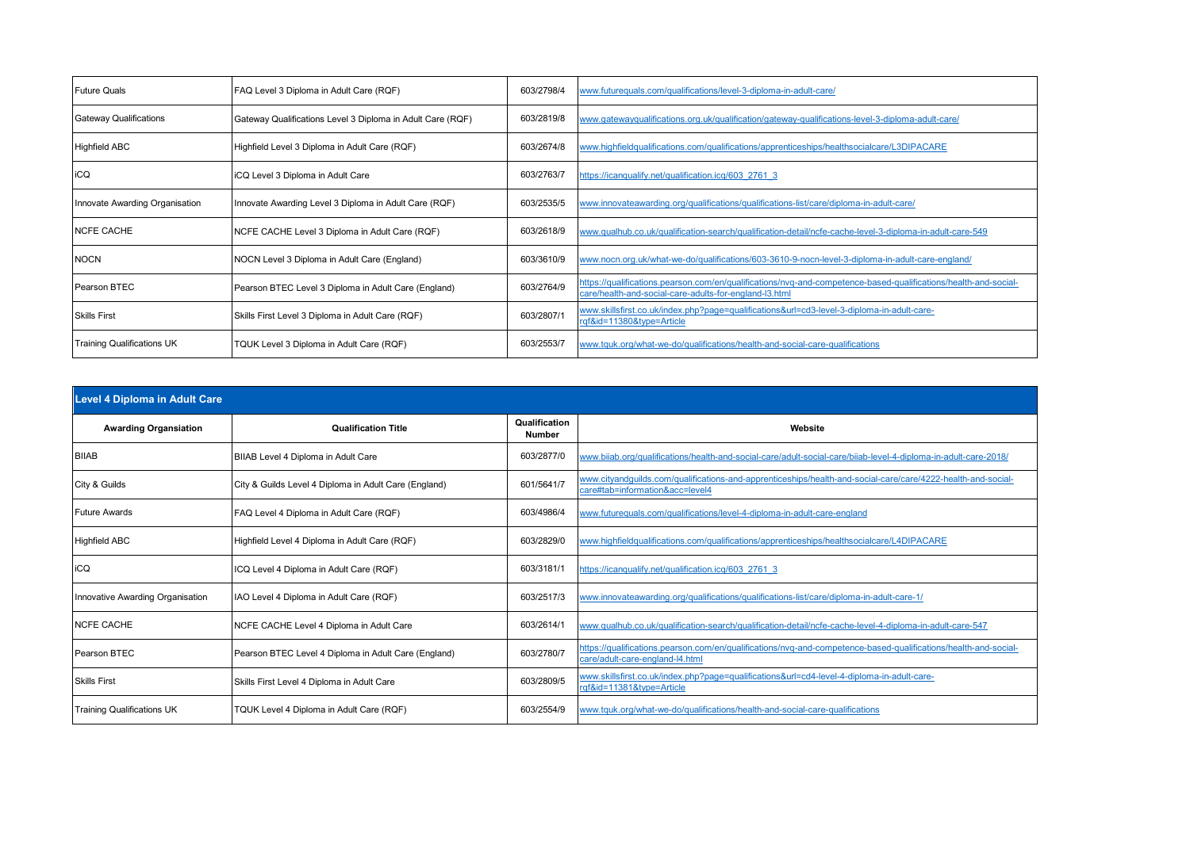| <b>Future Quals</b>               | FAQ Level 3 Diploma in Adult Care (RQF)                    | 603/2798/4 | www.futurequals.com/qualifications/level-3-diploma-in-adult-care/                                                                                                         |
|-----------------------------------|------------------------------------------------------------|------------|---------------------------------------------------------------------------------------------------------------------------------------------------------------------------|
| <b>Gateway Qualifications</b>     | Gateway Qualifications Level 3 Diploma in Adult Care (RQF) | 603/2819/8 | www.gatewayqualifications.org.uk/gualification/gateway-gualifications-level-3-diploma-adult-care/                                                                         |
| <b>Highfield ABC</b>              | Highfield Level 3 Diploma in Adult Care (RQF)              | 603/2674/8 | www.highfieldqualifications.com/qualifications/apprenticeships/healthsocialcare/L3DIPACARE                                                                                |
| iCQ                               | iCQ Level 3 Diploma in Adult Care                          | 603/2763/7 | https://icanqualify.net/qualification.icg/603 2761 3                                                                                                                      |
| Innovate Awarding Organisation    | Innovate Awarding Level 3 Diploma in Adult Care (RQF)      | 603/2535/5 | www.innovateawarding.org/qualifications/qualifications-list/care/diploma-in-adult-care/                                                                                   |
| <b>NCFE CACHE</b>                 | NCFE CACHE Level 3 Diploma in Adult Care (RQF)             | 603/2618/9 | www.qualhub.co.uk/qualification-search/qualification-detail/ncfe-cache-level-3-diploma-in-adult-care-549                                                                  |
| <b>NOCN</b>                       | NOCN Level 3 Diploma in Adult Care (England)               | 603/3610/9 | /www.nocn.org.uk/what-we-do/qualifications/603-3610-9-nocn-level-3-diploma-in-adult-care-england                                                                          |
| Pearson BTEC                      | Pearson BTEC Level 3 Diploma in Adult Care (England)       | 603/2764/9 | https://qualifications.pearson.com/en/qualifications/nvq-and-competence-based-qualifications/health-and-social-<br>care/health-and-social-care-adults-for-england-I3.html |
| <b>Skills First</b>               | Skills First Level 3 Diploma in Adult Care (RQF)           | 603/2807/1 | www.skillsfirst.co.uk/index.php?page=qualifications&url=cd3-level-3-diploma-in-adult-care-<br>rqf&id=11380&type=Article                                                   |
| <b>Training Qualifications UK</b> | TQUK Level 3 Diploma in Adult Care (RQF)                   | 603/2553/7 | www.tquk.org/what-we-do/qualifications/health-and-social-care-qualifications                                                                                              |

| <b>Level 4 Diploma in Adult Care</b> |                                                       |                         |                                                                                                                                                    |  |
|--------------------------------------|-------------------------------------------------------|-------------------------|----------------------------------------------------------------------------------------------------------------------------------------------------|--|
| <b>Awarding Organsiation</b>         | <b>Qualification Title</b>                            | Qualification<br>Number | Website                                                                                                                                            |  |
| <b>BIIAB</b>                         | BIIAB Level 4 Diploma in Adult Care                   | 603/2877/0              | www.biiab.org/qualifications/health-and-social-care/adult-social-care/biiab-level-4-diploma-in-adult-care-2018/                                    |  |
| City & Guilds                        | City & Guilds Level 4 Diploma in Adult Care (England) | 601/5641/7              | www.cityandquilds.com/qualifications-and-apprenticeships/health-and-social-care/care/4222-health-and-social-<br>care#tab=information&acc=level4    |  |
| <b>Future Awards</b>                 | FAQ Level 4 Diploma in Adult Care (RQF)               | 603/4986/4              | www.futurequals.com/qualifications/level-4-diploma-in-adult-care-england                                                                           |  |
| <b>Highfield ABC</b>                 | Highfield Level 4 Diploma in Adult Care (RQF)         | 603/2829/0              | www.highfieldqualifications.com/qualifications/apprenticeships/healthsocialcare/L4DIPACARE                                                         |  |
| iCQ                                  | ICQ Level 4 Diploma in Adult Care (RQF)               | 603/3181/               | https://icanqualify.net/qualification.icq/603 2761 3                                                                                               |  |
| Innovative Awarding Organisation     | IAO Level 4 Diploma in Adult Care (RQF)               | 603/2517/3              | www.innovateawarding.org/qualifications/qualifications-list/care/diploma-in-adult-care-1/                                                          |  |
| <b>NCFE CACHE</b>                    | NCFE CACHE Level 4 Diploma in Adult Care              | 603/2614/               | www.qualhub.co.uk/qualification-search/qualification-detail/ncfe-cache-level-4-diploma-in-adult-care-547                                           |  |
| <b>Pearson BTEC</b>                  | Pearson BTEC Level 4 Diploma in Adult Care (England)  | 603/2780/7              | https://qualifications.pearson.com/en/qualifications/nvq-and-competence-based-qualifications/health-and-social-<br>care/adult-care-england-l4.html |  |
| <b>Skills First</b>                  | Skills First Level 4 Diploma in Adult Care            | 603/2809/5              | www.skillsfirst.co.uk/index.php?page=qualifications&url=cd4-level-4-diploma-in-adult-care-<br>rqf&id=11381&type=Article                            |  |
| <b>Training Qualifications UK</b>    | TQUK Level 4 Diploma in Adult Care (RQF)              | 603/2554/9              | www.tquk.org/what-we-do/qualifications/health-and-social-care-qualifications                                                                       |  |